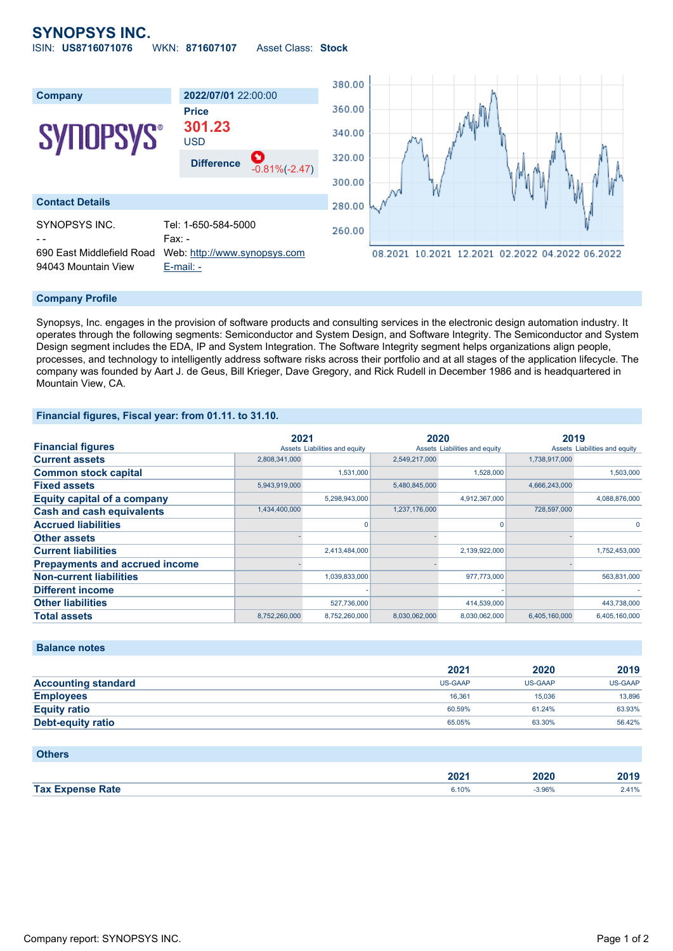# **SYNOPSYS INC.**

ISIN: **US8716071076** WKN: **871607107** Asset Class: **Stock**



#### **Company Profile**

Synopsys, Inc. engages in the provision of software products and consulting services in the electronic design automation industry. It operates through the following segments: Semiconductor and System Design, and Software Integrity. The Semiconductor and System Design segment includes the EDA, IP and System Integration. The Software Integrity segment helps organizations align people, processes, and technology to intelligently address software risks across their portfolio and at all stages of the application lifecycle. The company was founded by Aart J. de Geus, Bill Krieger, Dave Gregory, and Rick Rudell in December 1986 and is headquartered in Mountain View, CA.

#### **Financial figures, Fiscal year: from 01.11. to 31.10.**

|                                       | 2021          |                               | 2020          |                               |               | 2019                          |
|---------------------------------------|---------------|-------------------------------|---------------|-------------------------------|---------------|-------------------------------|
| <b>Financial figures</b>              |               | Assets Liabilities and equity |               | Assets Liabilities and equity |               | Assets Liabilities and equity |
| <b>Current assets</b>                 | 2,808,341,000 |                               | 2,549,217,000 |                               | 1,738,917,000 |                               |
| <b>Common stock capital</b>           |               | 1,531,000                     |               | 1,528,000                     |               | 1,503,000                     |
| <b>Fixed assets</b>                   | 5,943,919,000 |                               | 5,480,845,000 |                               | 4,666,243,000 |                               |
| <b>Equity capital of a company</b>    |               | 5,298,943,000                 |               | 4,912,367,000                 |               | 4,088,876,000                 |
| <b>Cash and cash equivalents</b>      | 1,434,400,000 |                               | 1,237,176,000 |                               | 728,597,000   |                               |
| <b>Accrued liabilities</b>            |               |                               |               |                               |               |                               |
| <b>Other assets</b>                   |               |                               |               |                               |               |                               |
| <b>Current liabilities</b>            |               | 2,413,484,000                 |               | 2,139,922,000                 |               | 1,752,453,000                 |
| <b>Prepayments and accrued income</b> |               |                               |               |                               |               |                               |
| <b>Non-current liabilities</b>        |               | 1,039,833,000                 |               | 977,773,000                   |               | 563,831,000                   |
| <b>Different income</b>               |               |                               |               |                               |               |                               |
| <b>Other liabilities</b>              |               | 527,736,000                   |               | 414,539,000                   |               | 443,738,000                   |
| <b>Total assets</b>                   | 8.752.260.000 | 8,752,260,000                 | 8.030.062.000 | 8.030.062.000                 | 6.405.160.000 | 6.405.160.000                 |

### **Balance notes**

|                            | 2021           | 2020           | 2019           |
|----------------------------|----------------|----------------|----------------|
| <b>Accounting standard</b> | <b>US-GAAP</b> | <b>US-GAAP</b> | <b>US-GAAP</b> |
| <b>Employees</b>           | 16.361         | 15.036         | 13,896         |
| <b>Equity ratio</b>        | 60.59%         | 61.24%         | 63.93%         |
| Debt-equity ratio          | 65.05%         | 63.30%         | 56.42%         |

#### **Others**

|                         | ירחר<br>ZUZ I | :UZU<br>_____ | ,,,, |
|-------------------------|---------------|---------------|------|
| xpense Rate<br>Tax $Ex$ | 6.10%         | 3.96%         | 410/ |